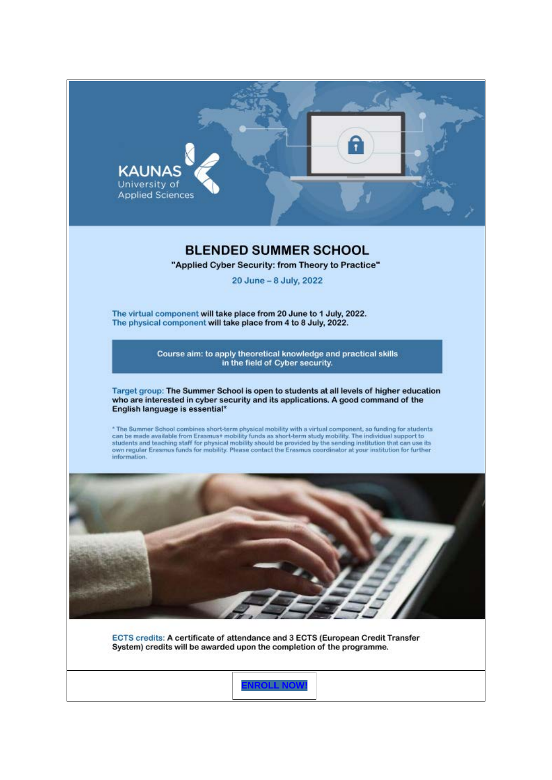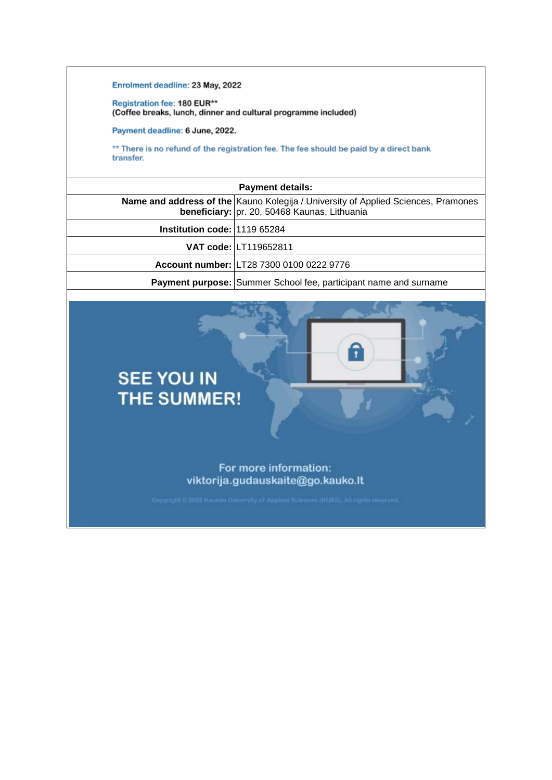Enrolment deadline: 23 May, 2022

Registration fee: 180 EUR\*\* (Coffee breaks, lunch, dinner and cultural programme included)

Payment deadline: 6 June, 2022.

\*\* There is no refund of the registration fee. The fee should be paid by a direct bank transfer.

| <b>Payment details:</b>      |                                                                                                                                          |  |
|------------------------------|------------------------------------------------------------------------------------------------------------------------------------------|--|
|                              | <b>Name and address of the Kauno Kolegija / University of Applied Sciences, Pramones</b><br>beneficiary: pr. 20, 50468 Kaunas, Lithuania |  |
| Institution code: 1119 65284 |                                                                                                                                          |  |
|                              | VAT code: LT119652811                                                                                                                    |  |
|                              | Account number: LT28 7300 0100 0222 9776                                                                                                 |  |
|                              | <b>Payment purpose: Summer School fee, participant name and surname</b>                                                                  |  |

Ŧ



**SEE YOU IN** 

For more information: viktorija.gudauskaite@go.kauko.lt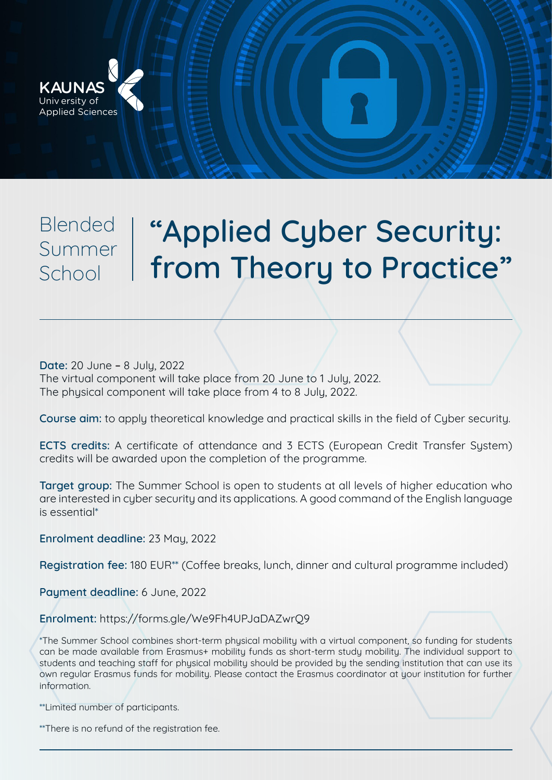

School

## **"Applied Cyber Security: from Theory to Practice" Blended** Summer

**Date:** 20 June **–** 8 July, 2022 The virtual component will take place from 20 June to 1 July, 2022. The physical component will take place from 4 to 8 July, 2022.

**Course aim:** to apply theoretical knowledge and practical skills in the field of Cyber security.

**ECTS credits:** A certificate of attendance and 3 ECTS (European Credit Transfer System) credits will be awarded upon the completion of the programme.

**Target group:** The Summer School is open to students at all levels of higher education who are interested in cyber security and its applications. A good command of the English language is essential\*

**Enrolment deadline:** 23 May, 2022

**Registration fee:** 180 EUR\*\* (Coffee breaks, lunch, dinner and cultural programme included)

**Payment deadline:** 6 June, 2022

**Enrolment:** https://forms.gle/We9Fh4UPJaDAZwrQ9

\*The Summer School combines short-term physical mobility with a virtual component, so funding for students can be made available from Erasmus+ mobility funds as short-term study mobility. The individual support to students and teaching staff for physical mobility should be provided by the sending institution that can use its own regular Erasmus funds for mobility. Please contact the Erasmus coordinator at your institution for further information.

\*\*Limited number of participants.

\*\*There is no refund of the registration fee.